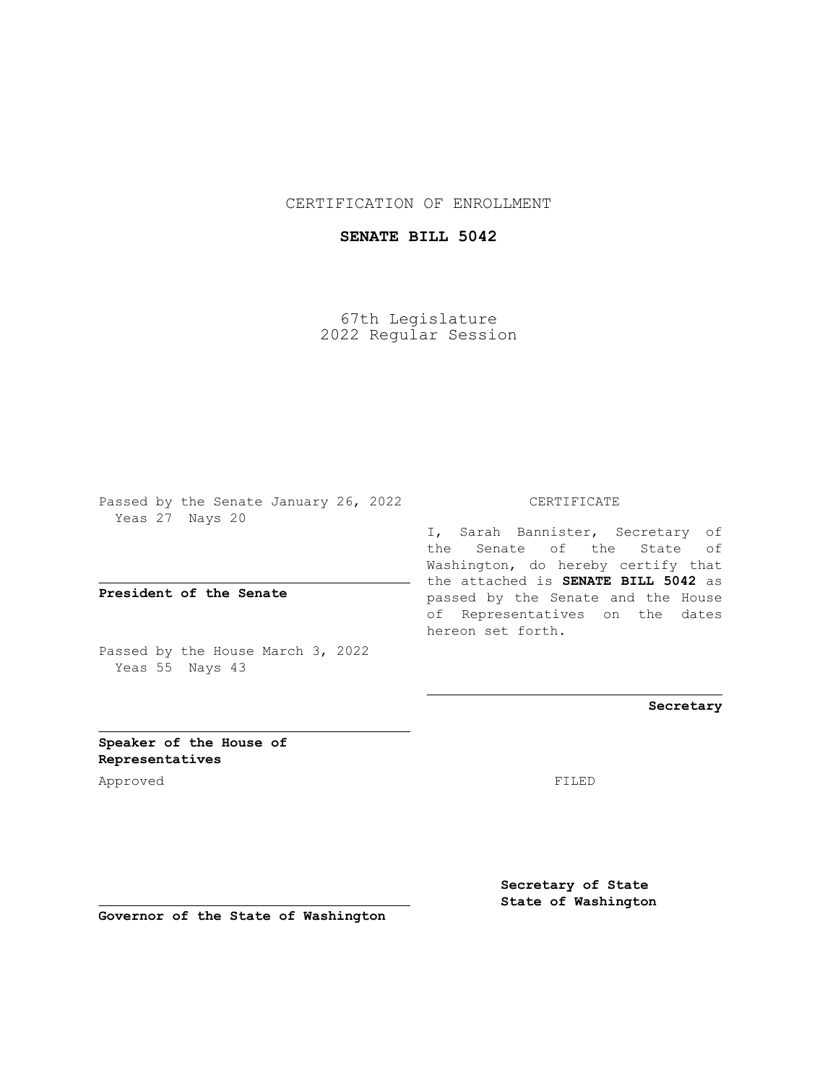## CERTIFICATION OF ENROLLMENT

## **SENATE BILL 5042**

67th Legislature 2022 Regular Session

Passed by the Senate January 26, 2022 Yeas 27 Nays 20

**President of the Senate**

Passed by the House March 3, 2022 Yeas 55 Nays 43

CERTIFICATE

I, Sarah Bannister, Secretary of the Senate of the State of Washington, do hereby certify that the attached is **SENATE BILL 5042** as passed by the Senate and the House of Representatives on the dates hereon set forth.

**Secretary**

**Speaker of the House of Representatives**

Approved FILED

**Secretary of State State of Washington**

**Governor of the State of Washington**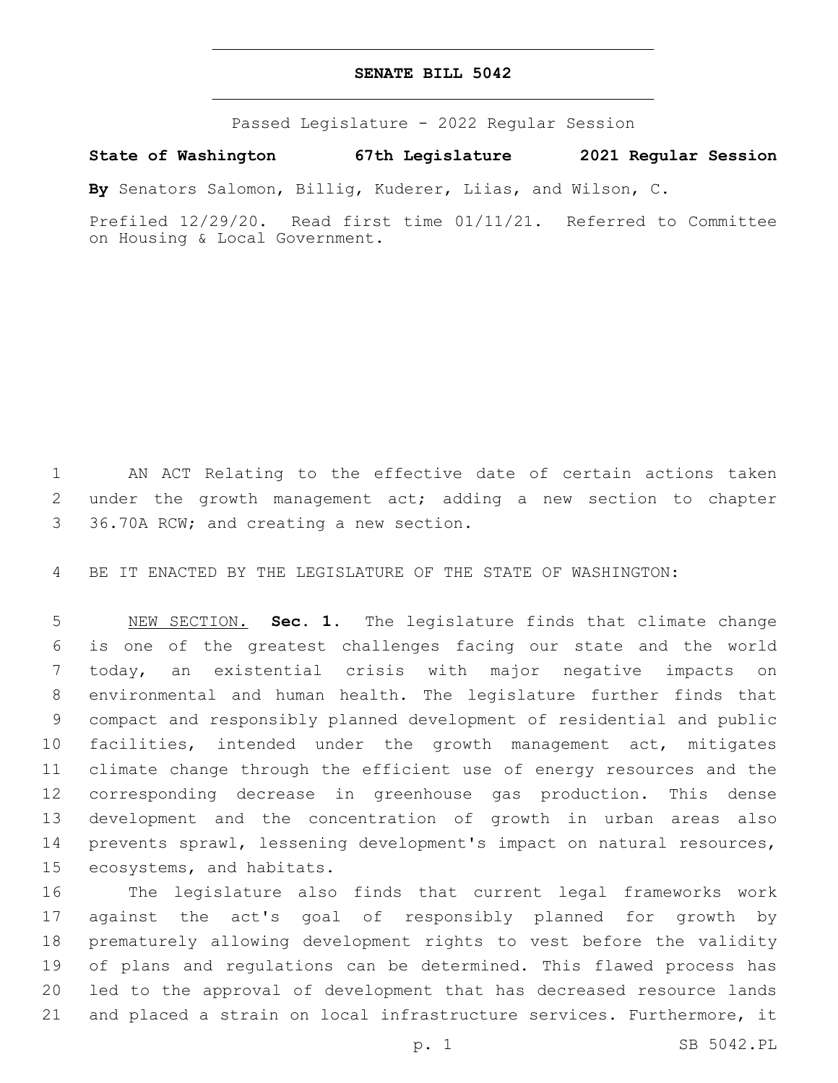## **SENATE BILL 5042**

Passed Legislature - 2022 Regular Session

**State of Washington 67th Legislature 2021 Regular Session**

**By** Senators Salomon, Billig, Kuderer, Liias, and Wilson, C.

Prefiled 12/29/20. Read first time 01/11/21. Referred to Committee on Housing & Local Government.

 AN ACT Relating to the effective date of certain actions taken under the growth management act; adding a new section to chapter 3 36.70A RCW; and creating a new section.

BE IT ENACTED BY THE LEGISLATURE OF THE STATE OF WASHINGTON:

 NEW SECTION. **Sec. 1.** The legislature finds that climate change is one of the greatest challenges facing our state and the world today, an existential crisis with major negative impacts on environmental and human health. The legislature further finds that compact and responsibly planned development of residential and public facilities, intended under the growth management act, mitigates climate change through the efficient use of energy resources and the corresponding decrease in greenhouse gas production. This dense development and the concentration of growth in urban areas also prevents sprawl, lessening development's impact on natural resources, ecosystems, and habitats.

 The legislature also finds that current legal frameworks work against the act's goal of responsibly planned for growth by prematurely allowing development rights to vest before the validity of plans and regulations can be determined. This flawed process has led to the approval of development that has decreased resource lands and placed a strain on local infrastructure services. Furthermore, it